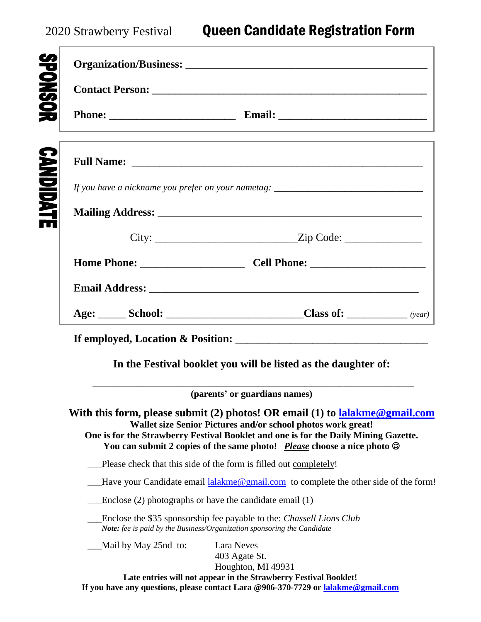|  | <u> 1989 - Johann Stoff, amerikansk politiker (* 1908)</u>                                                                                                                                                                                                                                                            |
|--|-----------------------------------------------------------------------------------------------------------------------------------------------------------------------------------------------------------------------------------------------------------------------------------------------------------------------|
|  | ,我们也不能在这里的时候,我们也不能在这里的时候,我们也不能会在这里的时候,我们也不能会在这里的时候,我们也不能会在这里的时候,我们也不能会在这里的时候,我们也                                                                                                                                                                                                                                      |
|  | If you have a nickname you prefer on your nametag: _____________________________                                                                                                                                                                                                                                      |
|  |                                                                                                                                                                                                                                                                                                                       |
|  |                                                                                                                                                                                                                                                                                                                       |
|  |                                                                                                                                                                                                                                                                                                                       |
|  |                                                                                                                                                                                                                                                                                                                       |
|  |                                                                                                                                                                                                                                                                                                                       |
|  |                                                                                                                                                                                                                                                                                                                       |
|  |                                                                                                                                                                                                                                                                                                                       |
|  | In the Festival booklet you will be listed as the daughter of:                                                                                                                                                                                                                                                        |
|  |                                                                                                                                                                                                                                                                                                                       |
|  | (parents' or guardians names)                                                                                                                                                                                                                                                                                         |
|  | Wallet size Senior Pictures and/or school photos work great!<br>One is for the Strawberry Festival Booklet and one is for the Daily Mining Gazette.<br>You can submit 2 copies of the same photo! Please choose a nice photo $\odot$                                                                                  |
|  | Please check that this side of the form is filled out completely!                                                                                                                                                                                                                                                     |
|  |                                                                                                                                                                                                                                                                                                                       |
|  | Enclose $(2)$ photographs or have the candidate email $(1)$                                                                                                                                                                                                                                                           |
|  | With this form, please submit (2) photos! OR email (1) to lalakme@gmail.com<br>Have your Candidate email lalakme@gmail.com to complete the other side of the form!<br>Enclose the \$35 sponsorship fee payable to the: Chassell Lions Club<br>Note: fee is paid by the Business/Organization sponsoring the Candidate |